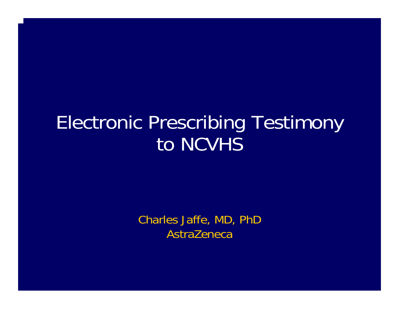#### Electronic Prescribing Testimony to NCVHS

Charles Jaffe, MD, PhD AstraZeneca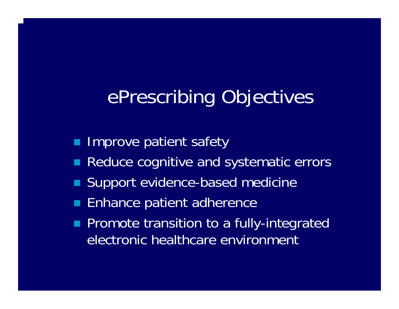### ePrescribing Objectives

- $\blacksquare$ Improve patient safety
- $\blacksquare$ Reduce cognitive and systematic errors
- $\blacksquare$ Support evidence-based medicine
- $\blacksquare$ Enhance patient adherence
- $\blacksquare$  Promote transition to a fully-integrated electronic healthcare environment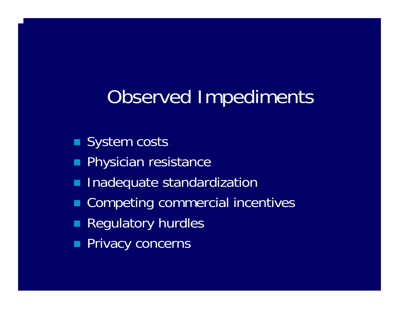### Observed Impediments

- System costs
- п Physician resistance
- $\blacksquare$ Inadequate standardization
- Е Competing commercial incentives
- П Regulatory hurdles
- $\blacksquare$ Privacy concerns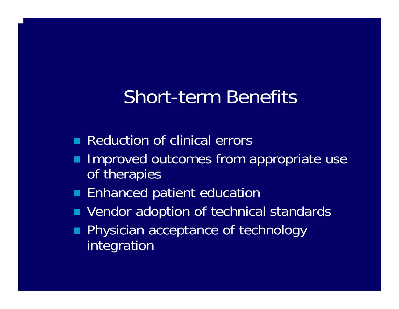#### Short-term Benefits

- **Reduction of clinical errors**
- Improved outcomes from appropriate use of therapies
- **Enhanced patient education**
- $\blacksquare$ Vendor adoption of technical standards
- $\blacksquare$  Physician acceptance of technology integration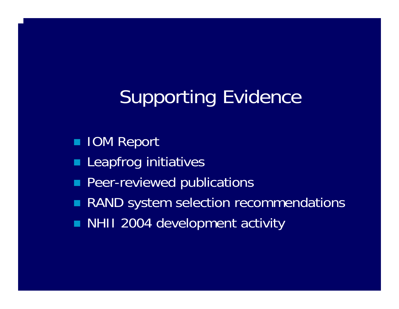# Supporting Evidence

- **IOM Report**
- $\blacksquare$ Leapfrog initiatives
- п Peer-reviewed publications
- П RAND system selection recommendations
- **NHII 2004 development activity**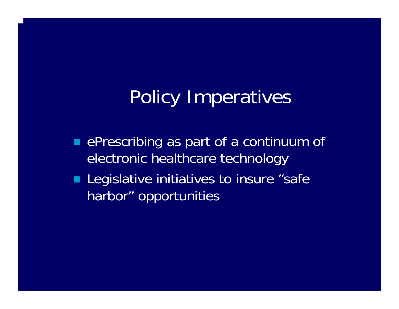## Policy Imperatives

- **EXTERGE PRESCRIBING AS PART OF A CONTINUUM OF** electronic healthcare technology
- **Legislative initiatives to insure "safe |** harbor" opportunities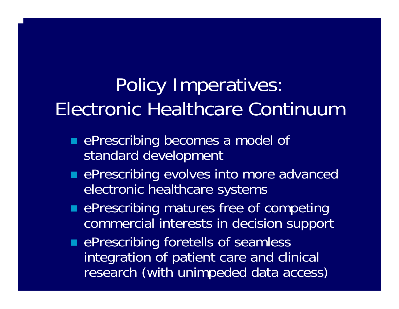## Policy Imperatives: Electronic Healthcare Continuum

- **Exercise in prescribing becomes a model of** standard development
- **EXPERCRIPTION EXPIDED EXPIDED EDGINAL EXPRESCRIPTION CONTROL** electronic healthcare systems
- **EXPERCRIPTION COMPRET IS A REPRESCRIPTION COMPRETED EVALUATE** commercial interests in decision support

**EXPERIGE PRESCRIBING for ethelis of seamless** integration of patient care and clinical research (with unimpeded data access)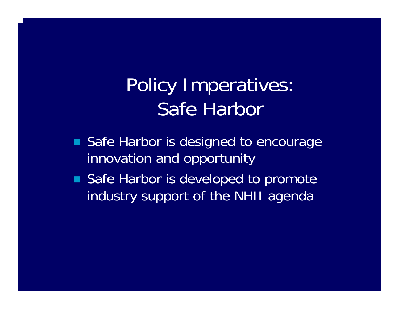### Policy Imperatives: Safe Harbor

- Safe Harbor is designed to encourage innovation and opportunity
- Safe Harbor is developed to promote industry support of the NHII agenda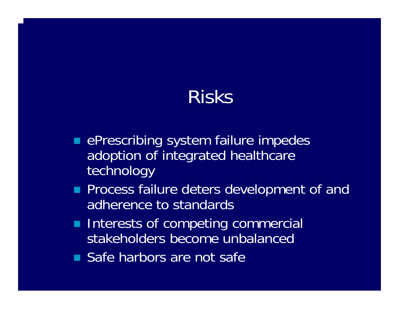#### Risks

- **EXPERCITE ASSESS PRESCRIPTING** system failure impedes adoption of integrated healthcare technology
- **Process failure deters development of and** adherence to standards
- **Interests of competing commercial** stakeholders become unbalanced
- **Safe harbors are not safe**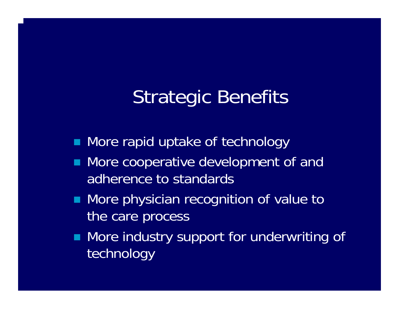# Strategic Benefits

- **Nore rapid uptake of technology**
- $\blacksquare$  More cooperative development of and adherence to standards
- **Nore physician recognition of value to** the care process
- **Nore industry support for underwriting of** technology